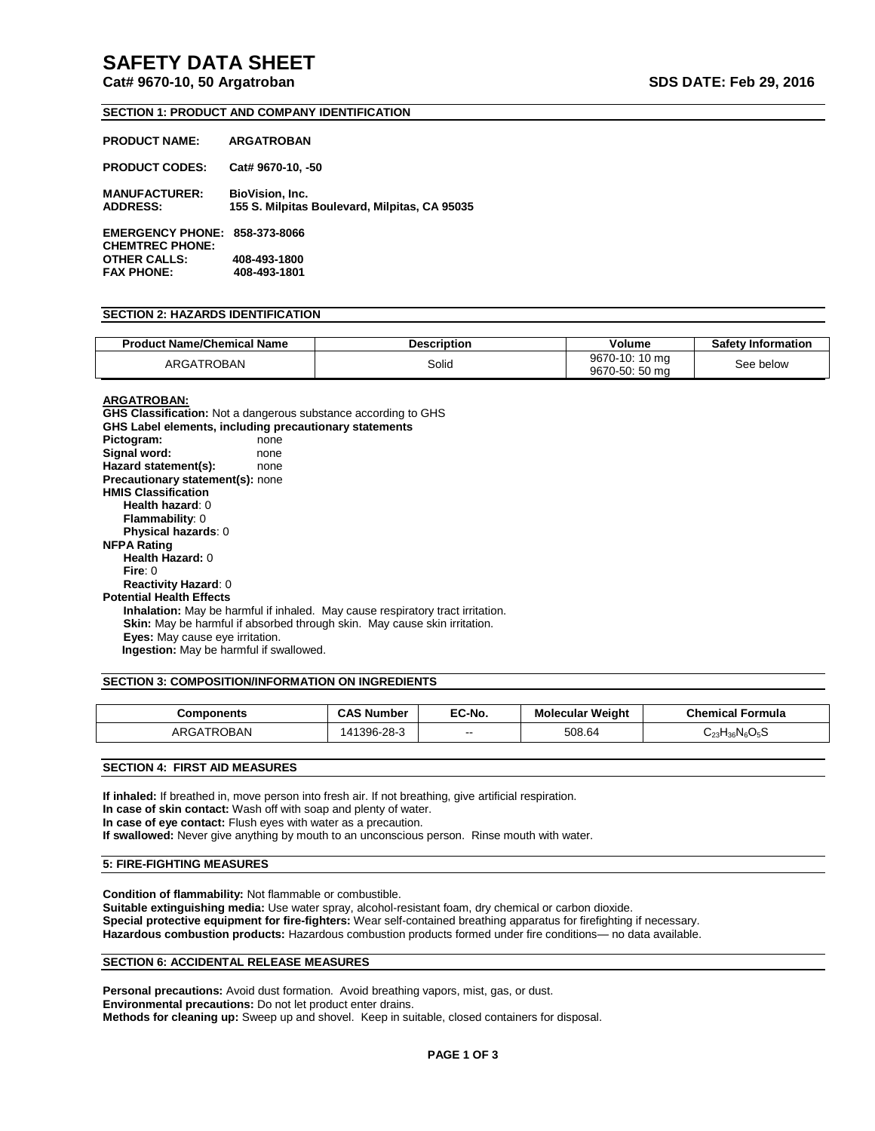# **SAFETY DATA SHEET**

# **Cat# 9670-10, 50 Argatroban SDS DATE: Feb 29, 2016**

#### **SECTION 1: PRODUCT AND COMPANY IDENTIFICATION**

| <b>PRODUCT NAME:</b>                                           | <b>ARGATROBAN</b>                                                       |
|----------------------------------------------------------------|-------------------------------------------------------------------------|
| <b>PRODUCT CODES:</b>                                          | Cat# 9670-10, -50                                                       |
| <b>MANUFACTURER:</b><br><b>ADDRESS:</b>                        | <b>BioVision, Inc.</b><br>155 S. Milpitas Boulevard, Milpitas, CA 95035 |
| <b>EMERGENCY PHONE: 858-373-8066</b><br><b>CHEMTREC PHONE:</b> |                                                                         |
| <b>OTHER CALLS:</b>                                            | 408-493-1800                                                            |
| <b>FAX PHONE:</b>                                              | 408-493-1801                                                            |

#### **SECTION 2: HAZARDS IDENTIFICATION**

| <b>Product Name/Chemical Name</b> | Description | Volume                           | <b>Safety Information</b> |
|-----------------------------------|-------------|----------------------------------|---------------------------|
| ARGATROBAN                        | Solid       | 9670-10: 10 mg<br>9670-50: 50 mg | See below                 |

# **ARGATROBAN:**

**GHS Classification:** Not a dangerous substance according to GHS **GHS Label elements, including precautionary statements** Pictogram: none Signal word: none **Hazard statement(s):** none **Precautionary statement(s):** none **HMIS Classification Health hazard**: 0 **Flammability**: 0 **Physical hazards**: 0 **NFPA Rating Health Hazard:** 0 **Fire**: 0 **Reactivity Hazard**: 0 **Potential Health Effects Inhalation:** May be harmful if inhaled. May cause respiratory tract irritation. **Skin:** May be harmful if absorbed through skin. May cause skin irritation. **Eyes:** May cause eye irritation.  **Ingestion:** May be harmful if swallowed.

#### **SECTION 3: COMPOSITION/INFORMATION ON INGREDIENTS**

| Components | <b>CAS Number</b> | EC-No. | <b>Molecular Weight</b> | <b>Chemical Formula</b> |
|------------|-------------------|--------|-------------------------|-------------------------|
| ARGATROBAN | റററ<br>396-28-3   | $\sim$ | 508.64                  | $C_{23}H_{36}N_6O_5S$   |

**SECTION 4: FIRST AID MEASURES**

**If inhaled:** If breathed in, move person into fresh air. If not breathing, give artificial respiration. **In case of skin contact:** Wash off with soap and plenty of water. **In case of eye contact:** Flush eyes with water as a precaution. **If swallowed:** Never give anything by mouth to an unconscious person. Rinse mouth with water.

#### **5: FIRE-FIGHTING MEASURES**

**Condition of flammability:** Not flammable or combustible. **Suitable extinguishing media:** Use water spray, alcohol-resistant foam, dry chemical or carbon dioxide. **Special protective equipment for fire-fighters:** Wear self-contained breathing apparatus for firefighting if necessary. **Hazardous combustion products:** Hazardous combustion products formed under fire conditions— no data available.

#### **SECTION 6: ACCIDENTAL RELEASE MEASURES**

Personal precautions: Avoid dust formation. Avoid breathing vapors, mist, gas, or dust. **Environmental precautions:** Do not let product enter drains. **Methods for cleaning up:** Sweep up and shovel. Keep in suitable, closed containers for disposal.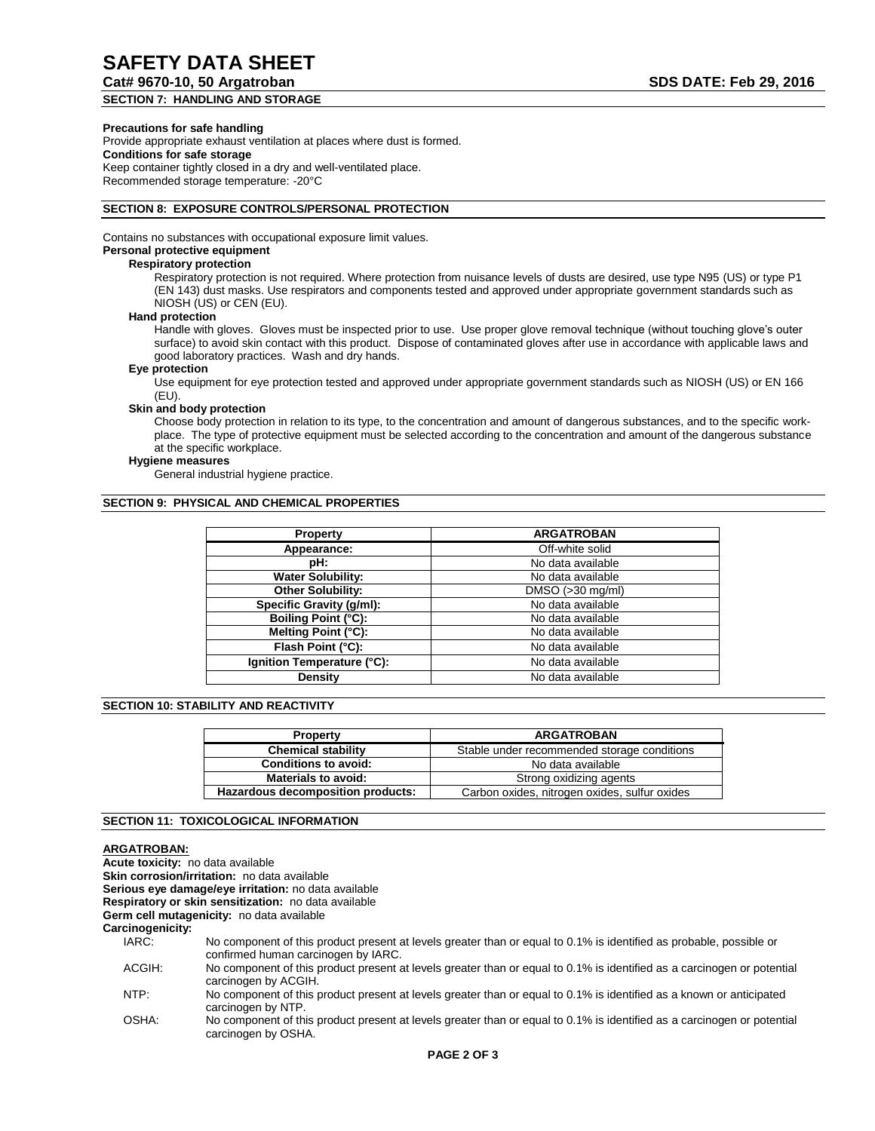# **SAFETY DATA SHEET**

# **Cat# 9670-10, 50 Argatroban SDS DATE: Feb 29, 2016**

# **SECTION 7: HANDLING AND STORAGE**

#### **Precautions for safe handling**

Provide appropriate exhaust ventilation at places where dust is formed. **Conditions for safe storage** Keep container tightly closed in a dry and well-ventilated place. Recommended storage temperature: -20°C

#### **SECTION 8: EXPOSURE CONTROLS/PERSONAL PROTECTION**

Contains no substances with occupational exposure limit values.

# **Personal protective equipment**

## **Respiratory protection**

Respiratory protection is not required. Where protection from nuisance levels of dusts are desired, use type N95 (US) or type P1 (EN 143) dust masks. Use respirators and components tested and approved under appropriate government standards such as NIOSH (US) or CEN (EU).

#### **Hand protection**

Handle with gloves. Gloves must be inspected prior to use. Use proper glove removal technique (without touching glove's outer surface) to avoid skin contact with this product. Dispose of contaminated gloves after use in accordance with applicable laws and good laboratory practices. Wash and dry hands.

#### **Eye protection**

Use equipment for eye protection tested and approved under appropriate government standards such as NIOSH (US) or EN 166 (EU).

### **Skin and body protection**

Choose body protection in relation to its type, to the concentration and amount of dangerous substances, and to the specific workplace. The type of protective equipment must be selected according to the concentration and amount of the dangerous substance at the specific workplace.

#### **Hygiene measures**

General industrial hygiene practice.

#### **SECTION 9: PHYSICAL AND CHEMICAL PROPERTIES**

| <b>Property</b>            | <b>ARGATROBAN</b>  |
|----------------------------|--------------------|
| Appearance:                | Off-white solid    |
| pH:                        | No data available  |
| <b>Water Solubility:</b>   | No data available  |
| <b>Other Solubility:</b>   | $DMSO (>30$ mg/ml) |
| Specific Gravity (g/ml):   | No data available  |
| Boiling Point (°C):        | No data available  |
| Melting Point (°C):        | No data available  |
| Flash Point (°C):          | No data available  |
| Ignition Temperature (°C): | No data available  |
| Density                    | No data available  |

#### **SECTION 10: STABILITY AND REACTIVITY**

| <b>Property</b>                   | <b>ARGATROBAN</b>                             |  |
|-----------------------------------|-----------------------------------------------|--|
| <b>Chemical stability</b>         | Stable under recommended storage conditions   |  |
| <b>Conditions to avoid:</b>       | No data available                             |  |
| <b>Materials to avoid:</b>        | Strong oxidizing agents                       |  |
| Hazardous decomposition products: | Carbon oxides, nitrogen oxides, sulfur oxides |  |

### **SECTION 11: TOXICOLOGICAL INFORMATION**

### **ARGATROBAN:**

**Acute toxicity:** no data available **Skin corrosion/irritation:** no data available **Serious eye damage/eye irritation:** no data available **Respiratory or skin sensitization:** no data available **Germ cell mutagenicity:** no data available **Carcinogenicity:** IARC: No component of this product present at levels greater than or equal to 0.1% is identified as probable, possible or confirmed human carcinogen by IARC. ACGIH: No component of this product present at levels greater than or equal to 0.1% is identified as a carcinogen or potential carcinogen by ACGIH.

- NTP: No component of this product present at levels greater than or equal to 0.1% is identified as a known or anticipated carcinogen by NTP.
- OSHA: No component of this product present at levels greater than or equal to 0.1% is identified as a carcinogen or potential carcinogen by OSHA.